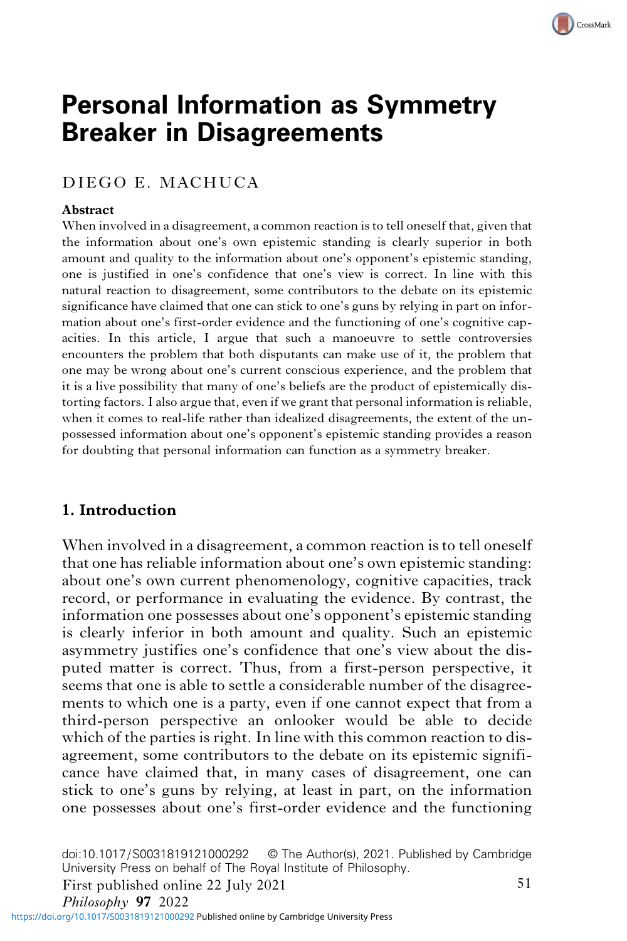# **Personal Information as Symmetry<br>Breaker in Disagreements** Breaker in Disagreements

# DIEGO E. MACHUCA

#### Abstract

When involved in a disagreement, a common reaction is to tell oneself that, given that the information about one's own epistemic standing is clearly superior in both amount and quality to the information about one's opponent's epistemic standing, one is justified in one's confidence that one's view is correct. In line with this natural reaction to disagreement, some contributors to the debate on its epistemic significance have claimed that one can stick to one's guns by relying in part on information about one's first-order evidence and the functioning of one's cognitive capacities. In this article, I argue that such a manoeuvre to settle controversies encounters the problem that both disputants can make use of it, the problem that one may be wrong about one's current conscious experience, and the problem that it is a live possibility that many of one's beliefs are the product of epistemically distorting factors. I also argue that, even if we grant that personal information is reliable, when it comes to real-life rather than idealized disagreements, the extent of the unpossessed information about one's opponent's epistemic standing provides a reason for doubting that personal information can function as a symmetry breaker.

## 1. Introduction

When involved in a disagreement, a common reaction is to tell oneself that one has reliable information about one's own epistemic standing: about one's own current phenomenology, cognitive capacities, track record, or performance in evaluating the evidence. By contrast, the information one possesses about one's opponent's epistemic standing is clearly inferior in both amount and quality. Such an epistemic asymmetry justifies one's confidence that one's view about the disputed matter is correct. Thus, from a first-person perspective, it seems that one is able to settle a considerable number of the disagreements to which one is a party, even if one cannot expect that from a third-person perspective an onlooker would be able to decide which of the parties is right. In line with this common reaction to disagreement, some contributors to the debate on its epistemic significance have claimed that, in many cases of disagreement, one can stick to one's guns by relying, at least in part, on the information one possesses about one's first-order evidence and the functioning

doi:10.1017/S0031819121000292 © The Author(s), 2021. Published by Cambridge University Press on behalf of The Royal Institute of Philosophy.

First published online 22 July 2021

<https://doi.org/10.1017/S0031819121000292>Published online by Cambridge University Press

CrossMark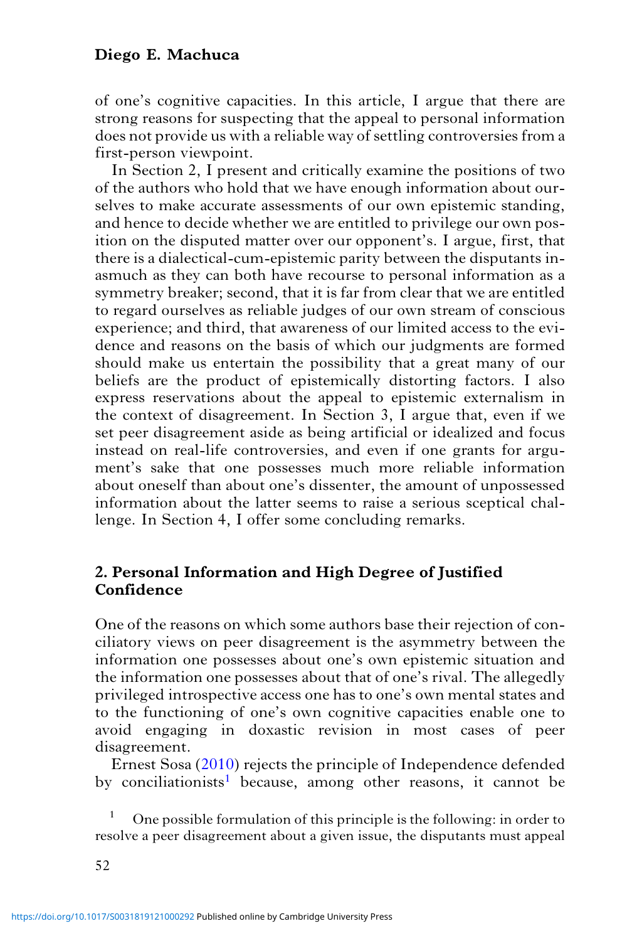of one's cognitive capacities. In this article, I argue that there are strong reasons for suspecting that the appeal to personal information does not provide us with a reliable way of settling controversies from a first-person viewpoint.

In Section 2, I present and critically examine the positions of two of the authors who hold that we have enough information about ourselves to make accurate assessments of our own epistemic standing, and hence to decide whether we are entitled to privilege our own position on the disputed matter over our opponent's. I argue, first, that there is a dialectical-cum-epistemic parity between the disputants inasmuch as they can both have recourse to personal information as a symmetry breaker; second, that it is far from clear that we are entitled to regard ourselves as reliable judges of our own stream of conscious experience; and third, that awareness of our limited access to the evidence and reasons on the basis of which our judgments are formed should make us entertain the possibility that a great many of our beliefs are the product of epistemically distorting factors. I also express reservations about the appeal to epistemic externalism in the context of disagreement. In Section 3, I argue that, even if we set peer disagreement aside as being artificial or idealized and focus instead on real-life controversies, and even if one grants for argument's sake that one possesses much more reliable information about oneself than about one's dissenter, the amount of unpossessed information about the latter seems to raise a serious sceptical challenge. In Section 4, I offer some concluding remarks.

## 2. Personal Information and High Degree of Justified Confidence

One of the reasons on which some authors base their rejection of conciliatory views on peer disagreement is the asymmetry between the information one possesses about one's own epistemic situation and the information one possesses about that of one's rival. The allegedly privileged introspective access one has to one's own mental states and to the functioning of one's own cognitive capacities enable one to avoid engaging in doxastic revision in most cases of peer disagreement.

Ernest Sosa ([2010\)](#page-19-0) rejects the principle of Independence defended by conciliationists<sup>1</sup> because, among other reasons, it cannot be

<sup>1</sup> One possible formulation of this principle is the following: in order to resolve a peer disagreement about a given issue, the disputants must appeal

52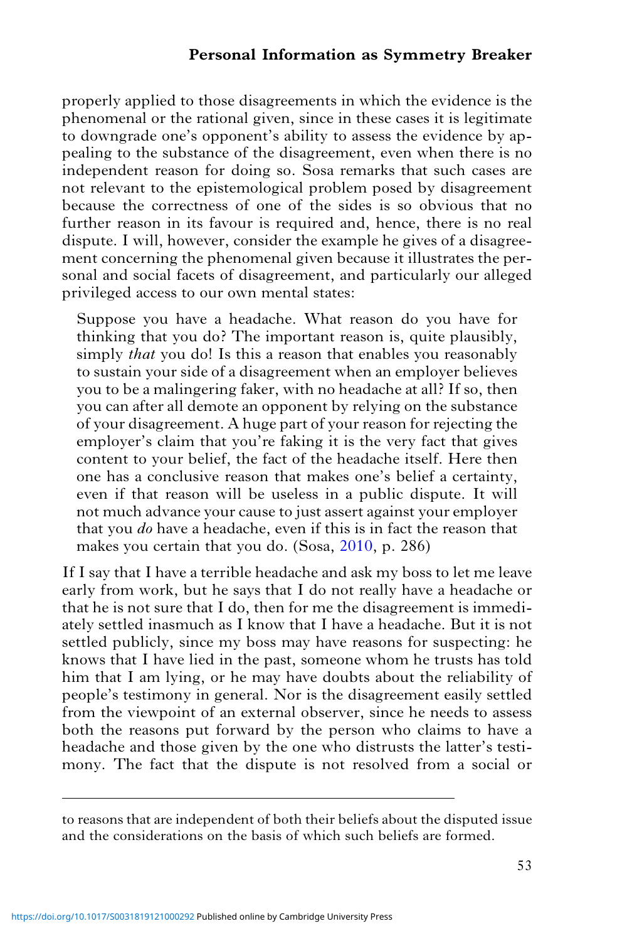properly applied to those disagreements in which the evidence is the phenomenal or the rational given, since in these cases it is legitimate to downgrade one's opponent's ability to assess the evidence by appealing to the substance of the disagreement, even when there is no independent reason for doing so. Sosa remarks that such cases are not relevant to the epistemological problem posed by disagreement because the correctness of one of the sides is so obvious that no further reason in its favour is required and, hence, there is no real dispute. I will, however, consider the example he gives of a disagreement concerning the phenomenal given because it illustrates the personal and social facets of disagreement, and particularly our alleged privileged access to our own mental states:

Suppose you have a headache. What reason do you have for thinking that you do? The important reason is, quite plausibly, simply *that* you do! Is this a reason that enables you reasonably to sustain your side of a disagreement when an employer believes you to be a malingering faker, with no headache at all? If so, then you can after all demote an opponent by relying on the substance of your disagreement. A huge part of your reason for rejecting the employer's claim that you're faking it is the very fact that gives content to your belief, the fact of the headache itself. Here then one has a conclusive reason that makes one's belief a certainty, even if that reason will be useless in a public dispute. It will not much advance your cause to just assert against your employer that you do have a headache, even if this is in fact the reason that makes you certain that you do. (Sosa, [2010](#page-19-0), p. 286)

If I say that I have a terrible headache and ask my boss to let me leave early from work, but he says that I do not really have a headache or that he is not sure that I do, then for me the disagreement is immediately settled inasmuch as I know that I have a headache. But it is not settled publicly, since my boss may have reasons for suspecting: he knows that I have lied in the past, someone whom he trusts has told him that I am lying, or he may have doubts about the reliability of people's testimony in general. Nor is the disagreement easily settled from the viewpoint of an external observer, since he needs to assess both the reasons put forward by the person who claims to have a headache and those given by the one who distrusts the latter's testimony. The fact that the dispute is not resolved from a social or

to reasons that are independent of both their beliefs about the disputed issue and the considerations on the basis of which such beliefs are formed.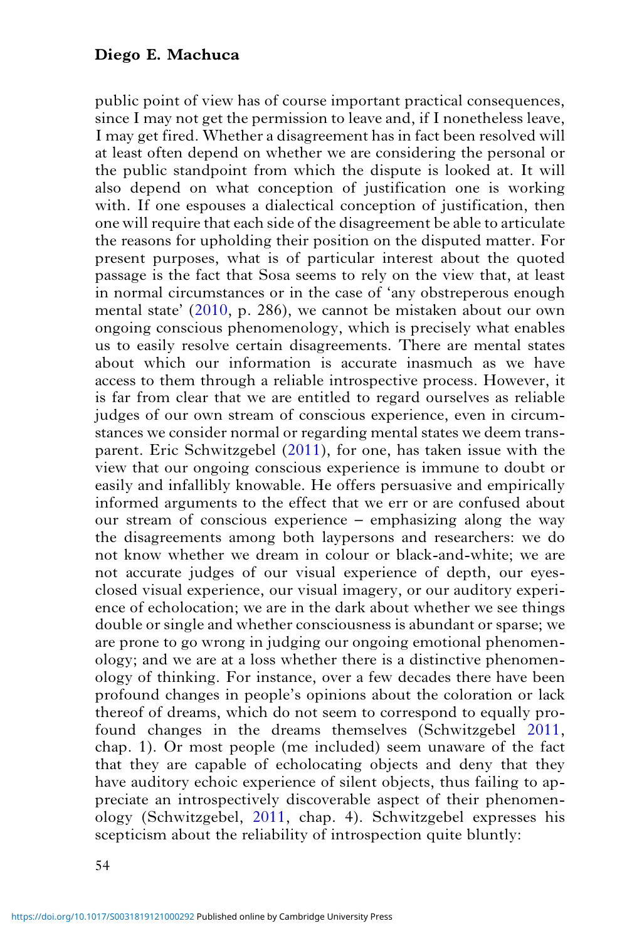public point of view has of course important practical consequences, since I may not get the permission to leave and, if I nonetheless leave, I may get fired. Whether a disagreement has in fact been resolved will at least often depend on whether we are considering the personal or the public standpoint from which the dispute is looked at. It will also depend on what conception of justification one is working with. If one espouses a dialectical conception of justification, then one will require that each side of the disagreement be able to articulate the reasons for upholding their position on the disputed matter. For present purposes, what is of particular interest about the quoted passage is the fact that Sosa seems to rely on the view that, at least in normal circumstances or in the case of 'any obstreperous enough mental state' ([2010](#page-19-0), p. 286), we cannot be mistaken about our own ongoing conscious phenomenology, which is precisely what enables us to easily resolve certain disagreements. There are mental states about which our information is accurate inasmuch as we have access to them through a reliable introspective process. However, it is far from clear that we are entitled to regard ourselves as reliable judges of our own stream of conscious experience, even in circumstances we consider normal or regarding mental states we deem transparent. Eric Schwitzgebel ([2011](#page-19-0)), for one, has taken issue with the view that our ongoing conscious experience is immune to doubt or easily and infallibly knowable. He offers persuasive and empirically informed arguments to the effect that we err or are confused about our stream of conscious experience – emphasizing along the way the disagreements among both laypersons and researchers: we do not know whether we dream in colour or black-and-white; we are not accurate judges of our visual experience of depth, our eyesclosed visual experience, our visual imagery, or our auditory experience of echolocation; we are in the dark about whether we see things double or single and whether consciousness is abundant or sparse; we are prone to go wrong in judging our ongoing emotional phenomenology; and we are at a loss whether there is a distinctive phenomenology of thinking. For instance, over a few decades there have been profound changes in people's opinions about the coloration or lack thereof of dreams, which do not seem to correspond to equally profound changes in the dreams themselves (Schwitzgebel [2011](#page-19-0), chap. 1). Or most people (me included) seem unaware of the fact that they are capable of echolocating objects and deny that they have auditory echoic experience of silent objects, thus failing to appreciate an introspectively discoverable aspect of their phenomenology (Schwitzgebel, [2011](#page-19-0), chap. 4). Schwitzgebel expresses his scepticism about the reliability of introspection quite bluntly: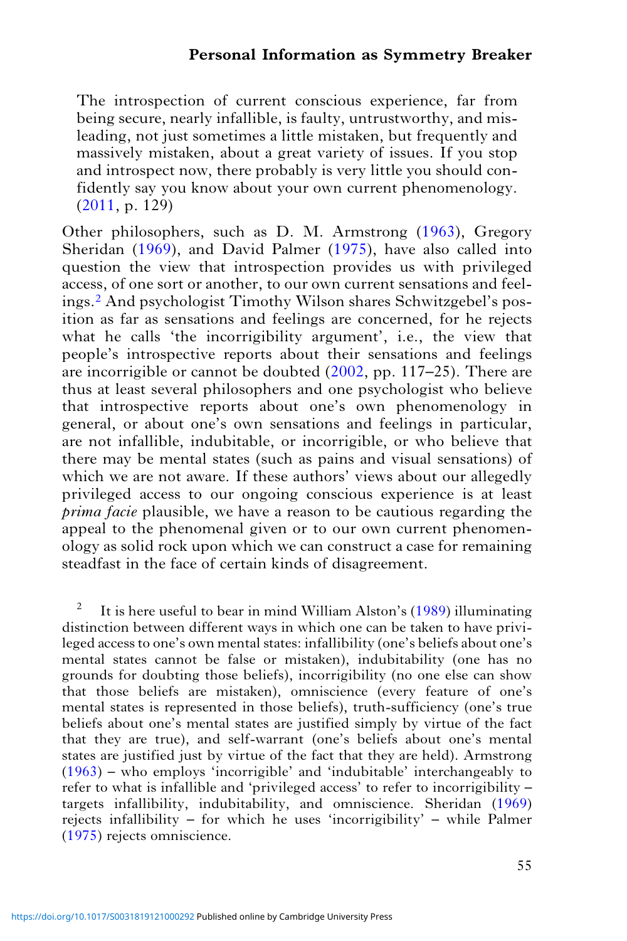The introspection of current conscious experience, far from being secure, nearly infallible, is faulty, untrustworthy, and misleading, not just sometimes a little mistaken, but frequently and massively mistaken, about a great variety of issues. If you stop and introspect now, there probably is very little you should confidently say you know about your own current phenomenology. [\(2011](#page-19-0), p. 129)

Other philosophers, such as D. M. Armstrong ([1963\)](#page-18-0), Gregory Sheridan ([1969\)](#page-19-0), and David Palmer [\(1975](#page-19-0)), have also called into question the view that introspection provides us with privileged access, of one sort or another, to our own current sensations and feelings.<sup>2</sup> And psychologist Timothy Wilson shares Schwitzgebel's position as far as sensations and feelings are concerned, for he rejects what he calls 'the incorrigibility argument', i.e., the view that people's introspective reports about their sensations and feelings are incorrigible or cannot be doubted [\(2002](#page-19-0), pp. 117–25). There are thus at least several philosophers and one psychologist who believe that introspective reports about one's own phenomenology in general, or about one's own sensations and feelings in particular, are not infallible, indubitable, or incorrigible, or who believe that there may be mental states (such as pains and visual sensations) of which we are not aware. If these authors' views about our allegedly privileged access to our ongoing conscious experience is at least prima facie plausible, we have a reason to be cautious regarding the appeal to the phenomenal given or to our own current phenomenology as solid rock upon which we can construct a case for remaining steadfast in the face of certain kinds of disagreement.

<sup>2</sup> It is here useful to bear in mind William Alston's  $(1989)$  $(1989)$  $(1989)$  illuminating distinction between different ways in which one can be taken to have privileged access to one's own mental states: infallibility (one's beliefs about one's mental states cannot be false or mistaken), indubitability (one has no grounds for doubting those beliefs), incorrigibility (no one else can show that those beliefs are mistaken), omniscience (every feature of one's mental states is represented in those beliefs), truth-sufficiency (one's true beliefs about one's mental states are justified simply by virtue of the fact that they are true), and self-warrant (one's beliefs about one's mental states are justified just by virtue of the fact that they are held). Armstrong ([1963\)](#page-18-0) – who employs 'incorrigible' and 'indubitable' interchangeably to refer to what is infallible and 'privileged access' to refer to incorrigibility – targets infallibility, indubitability, and omniscience. Sheridan [\(1969](#page-19-0)) rejects infallibility – for which he uses 'incorrigibility' – while Palmer ([1975\)](#page-19-0) rejects omniscience.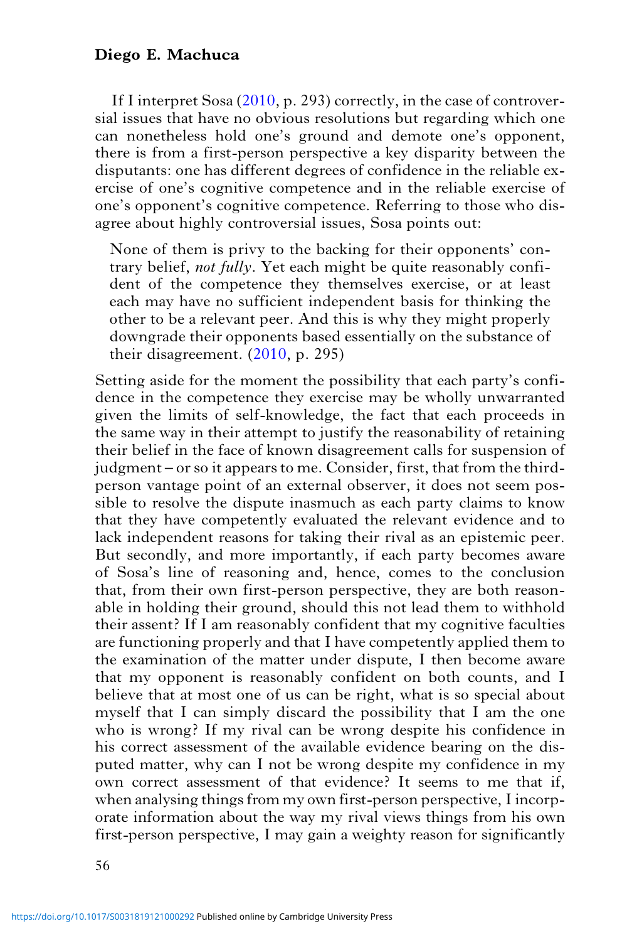If I interpret Sosa [\(2010](#page-19-0), p. 293) correctly, in the case of controversial issues that have no obvious resolutions but regarding which one can nonetheless hold one's ground and demote one's opponent, there is from a first-person perspective a key disparity between the disputants: one has different degrees of confidence in the reliable exercise of one's cognitive competence and in the reliable exercise of one's opponent's cognitive competence. Referring to those who disagree about highly controversial issues, Sosa points out:

None of them is privy to the backing for their opponents' contrary belief, not fully. Yet each might be quite reasonably confident of the competence they themselves exercise, or at least each may have no sufficient independent basis for thinking the other to be a relevant peer. And this is why they might properly downgrade their opponents based essentially on the substance of their disagreement. ([2010,](#page-19-0) p. 295)

Setting aside for the moment the possibility that each party's confidence in the competence they exercise may be wholly unwarranted given the limits of self-knowledge, the fact that each proceeds in the same way in their attempt to justify the reasonability of retaining their belief in the face of known disagreement calls for suspension of judgment – or so it appears to me. Consider, first, that from the thirdperson vantage point of an external observer, it does not seem possible to resolve the dispute inasmuch as each party claims to know that they have competently evaluated the relevant evidence and to lack independent reasons for taking their rival as an epistemic peer. But secondly, and more importantly, if each party becomes aware of Sosa's line of reasoning and, hence, comes to the conclusion that, from their own first-person perspective, they are both reasonable in holding their ground, should this not lead them to withhold their assent? If I am reasonably confident that my cognitive faculties are functioning properly and that I have competently applied them to the examination of the matter under dispute, I then become aware that my opponent is reasonably confident on both counts, and I believe that at most one of us can be right, what is so special about myself that I can simply discard the possibility that I am the one who is wrong? If my rival can be wrong despite his confidence in his correct assessment of the available evidence bearing on the disputed matter, why can I not be wrong despite my confidence in my own correct assessment of that evidence? It seems to me that if, when analysing things from my own first-person perspective, I incorporate information about the way my rival views things from his own first-person perspective, I may gain a weighty reason for significantly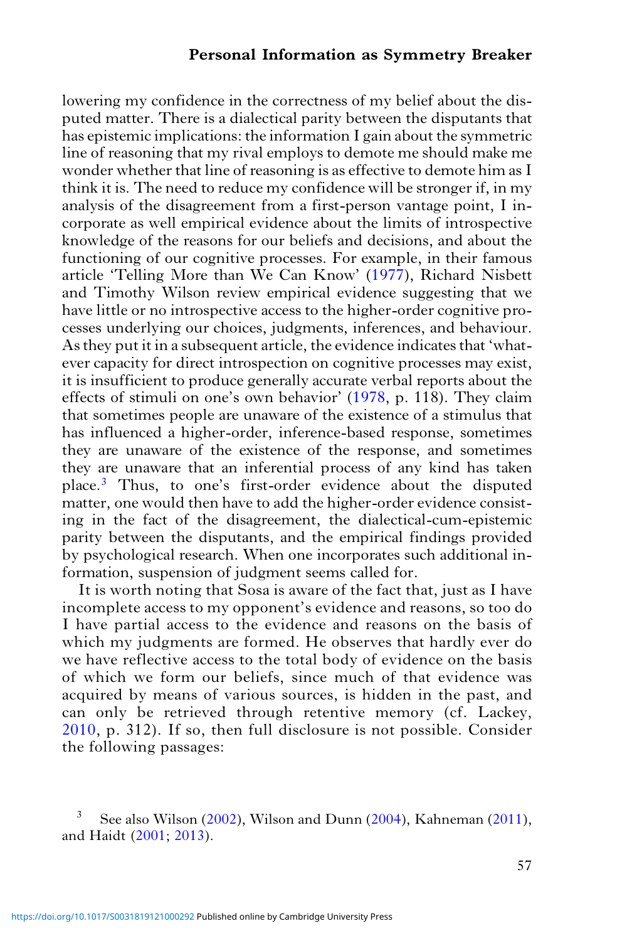lowering my confidence in the correctness of my belief about the disputed matter. There is a dialectical parity between the disputants that has epistemic implications: the information I gain about the symmetric line of reasoning that my rival employs to demote me should make me wonder whether that line of reasoning is as effective to demote him as I think it is. The need to reduce my confidence will be stronger if, in my analysis of the disagreement from a first-person vantage point, I incorporate as well empirical evidence about the limits of introspective knowledge of the reasons for our beliefs and decisions, and about the functioning of our cognitive processes. For example, in their famous article 'Telling More than We Can Know' [\(1977\)](#page-19-0), Richard Nisbett and Timothy Wilson review empirical evidence suggesting that we have little or no introspective access to the higher-order cognitive processes underlying our choices, judgments, inferences, and behaviour. As they put it in a subsequent article, the evidence indicates that 'whatever capacity for direct introspection on cognitive processes may exist, it is insufficient to produce generally accurate verbal reports about the effects of stimuli on one's own behavior' [\(1978,](#page-19-0) p. 118). They claim that sometimes people are unaware of the existence of a stimulus that has influenced a higher-order, inference-based response, sometimes they are unaware of the existence of the response, and sometimes they are unaware that an inferential process of any kind has taken place.3 Thus, to one's first-order evidence about the disputed matter, one would then have to add the higher-order evidence consisting in the fact of the disagreement, the dialectical-cum-epistemic parity between the disputants, and the empirical findings provided by psychological research. When one incorporates such additional information, suspension of judgment seems called for.

It is worth noting that Sosa is aware of the fact that, just as I have incomplete access to my opponent's evidence and reasons, so too do I have partial access to the evidence and reasons on the basis of which my judgments are formed. He observes that hardly ever do we have reflective access to the total body of evidence on the basis of which we form our beliefs, since much of that evidence was acquired by means of various sources, is hidden in the past, and can only be retrieved through retentive memory (cf. Lackey, [2010,](#page-18-0) p. 312). If so, then full disclosure is not possible. Consider the following passages:

See also Wilson ([2002\)](#page-19-0), Wilson and Dunn ([2004\)](#page-19-0), Kahneman [\(2011](#page-18-0)), and Haidt [\(2001](#page-18-0); [2013\)](#page-18-0).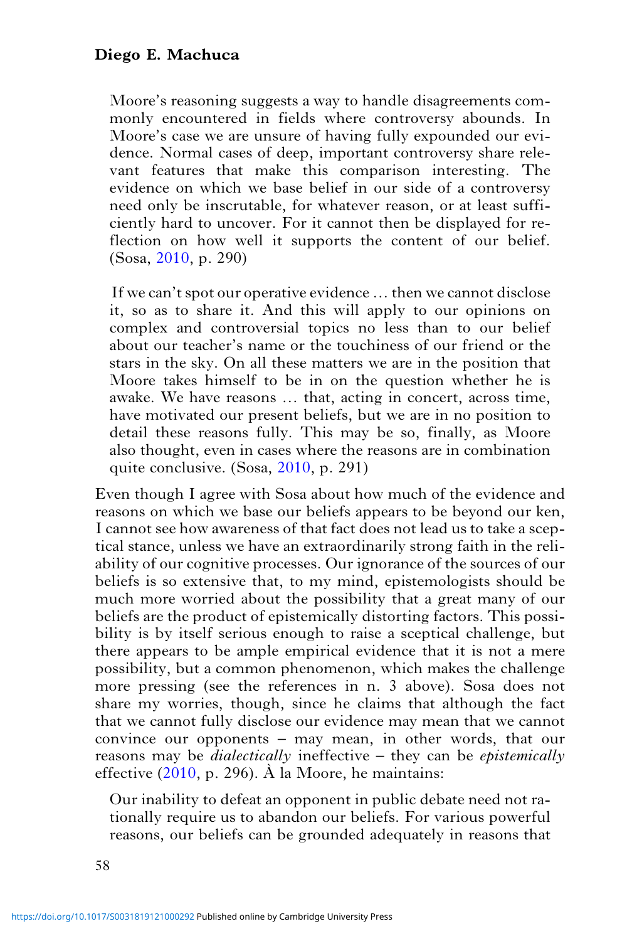Moore's reasoning suggests a way to handle disagreements commonly encountered in fields where controversy abounds. In Moore's case we are unsure of having fully expounded our evidence. Normal cases of deep, important controversy share relevant features that make this comparison interesting. The evidence on which we base belief in our side of a controversy need only be inscrutable, for whatever reason, or at least sufficiently hard to uncover. For it cannot then be displayed for reflection on how well it supports the content of our belief. (Sosa, [2010](#page-19-0), p. 290)

If we can't spot our operative evidence … then we cannot disclose it, so as to share it. And this will apply to our opinions on complex and controversial topics no less than to our belief about our teacher's name or the touchiness of our friend or the stars in the sky. On all these matters we are in the position that Moore takes himself to be in on the question whether he is awake. We have reasons … that, acting in concert, across time, have motivated our present beliefs, but we are in no position to detail these reasons fully. This may be so, finally, as Moore also thought, even in cases where the reasons are in combination quite conclusive. (Sosa, [2010](#page-19-0), p. 291)

Even though I agree with Sosa about how much of the evidence and reasons on which we base our beliefs appears to be beyond our ken, I cannot see how awareness of that fact does not lead us to take a sceptical stance, unless we have an extraordinarily strong faith in the reliability of our cognitive processes. Our ignorance of the sources of our beliefs is so extensive that, to my mind, epistemologists should be much more worried about the possibility that a great many of our beliefs are the product of epistemically distorting factors. This possibility is by itself serious enough to raise a sceptical challenge, but there appears to be ample empirical evidence that it is not a mere possibility, but a common phenomenon, which makes the challenge more pressing (see the references in n. 3 above). Sosa does not share my worries, though, since he claims that although the fact that we cannot fully disclose our evidence may mean that we cannot convince our opponents – may mean, in other words, that our reasons may be *dialectically* ineffective – they can be *epistemically* effective  $(2010, p. 296)$  $(2010, p. 296)$  $(2010, p. 296)$ . À la Moore, he maintains:

Our inability to defeat an opponent in public debate need not rationally require us to abandon our beliefs. For various powerful reasons, our beliefs can be grounded adequately in reasons that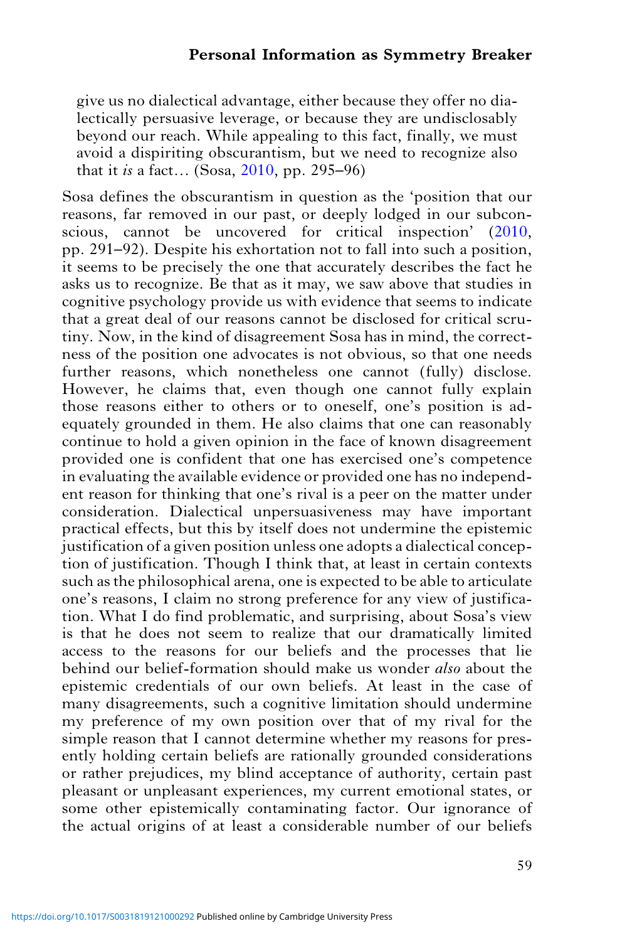give us no dialectical advantage, either because they offer no dialectically persuasive leverage, or because they are undisclosably beyond our reach. While appealing to this fact, finally, we must avoid a dispiriting obscurantism, but we need to recognize also that it is a fact... (Sosa, [2010](#page-19-0), pp. 295–96)

Sosa defines the obscurantism in question as the 'position that our reasons, far removed in our past, or deeply lodged in our subconscious, cannot be uncovered for critical inspection' ([2010](#page-19-0), pp. 291–92). Despite his exhortation not to fall into such a position, it seems to be precisely the one that accurately describes the fact he asks us to recognize. Be that as it may, we saw above that studies in cognitive psychology provide us with evidence that seems to indicate that a great deal of our reasons cannot be disclosed for critical scrutiny. Now, in the kind of disagreement Sosa has in mind, the correctness of the position one advocates is not obvious, so that one needs further reasons, which nonetheless one cannot (fully) disclose. However, he claims that, even though one cannot fully explain those reasons either to others or to oneself, one's position is adequately grounded in them. He also claims that one can reasonably continue to hold a given opinion in the face of known disagreement provided one is confident that one has exercised one's competence in evaluating the available evidence or provided one has no independent reason for thinking that one's rival is a peer on the matter under consideration. Dialectical unpersuasiveness may have important practical effects, but this by itself does not undermine the epistemic justification of a given position unless one adopts a dialectical conception of justification. Though I think that, at least in certain contexts such as the philosophical arena, one is expected to be able to articulate one's reasons, I claim no strong preference for any view of justification. What I do find problematic, and surprising, about Sosa's view is that he does not seem to realize that our dramatically limited access to the reasons for our beliefs and the processes that lie behind our belief-formation should make us wonder also about the epistemic credentials of our own beliefs. At least in the case of many disagreements, such a cognitive limitation should undermine my preference of my own position over that of my rival for the simple reason that I cannot determine whether my reasons for presently holding certain beliefs are rationally grounded considerations or rather prejudices, my blind acceptance of authority, certain past pleasant or unpleasant experiences, my current emotional states, or some other epistemically contaminating factor. Our ignorance of the actual origins of at least a considerable number of our beliefs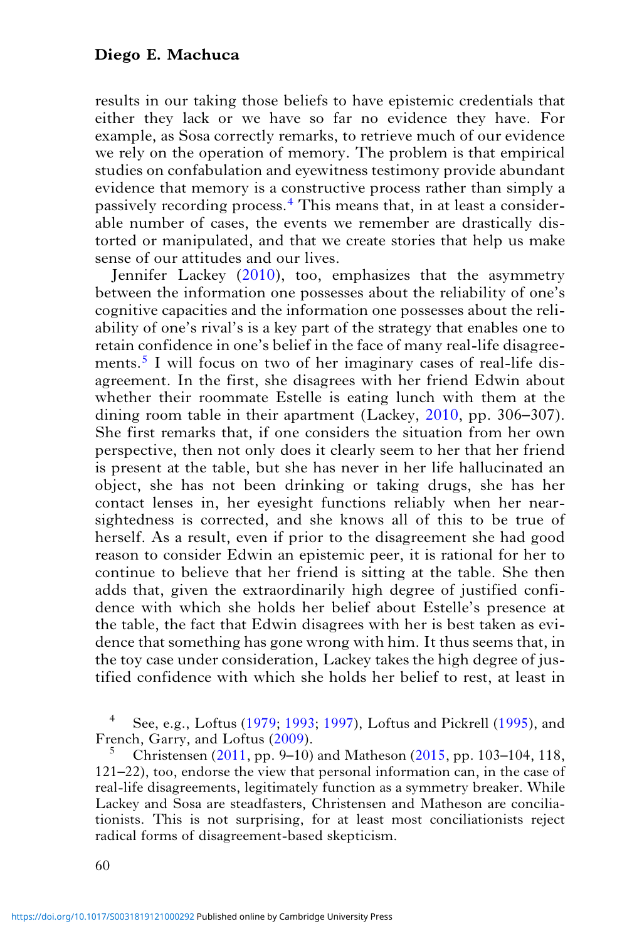results in our taking those beliefs to have epistemic credentials that either they lack or we have so far no evidence they have. For example, as Sosa correctly remarks, to retrieve much of our evidence we rely on the operation of memory. The problem is that empirical studies on confabulation and eyewitness testimony provide abundant evidence that memory is a constructive process rather than simply a passively recording process.<sup>4</sup> This means that, in at least a considerable number of cases, the events we remember are drastically distorted or manipulated, and that we create stories that help us make sense of our attitudes and our lives.

Jennifer Lackey [\(2010](#page-18-0)), too, emphasizes that the asymmetry between the information one possesses about the reliability of one's cognitive capacities and the information one possesses about the reliability of one's rival's is a key part of the strategy that enables one to retain confidence in one's belief in the face of many real-life disagreements.<sup>5</sup> I will focus on two of her imaginary cases of real-life disagreement. In the first, she disagrees with her friend Edwin about whether their roommate Estelle is eating lunch with them at the dining room table in their apartment (Lackey, [2010](#page-18-0), pp. 306–307). She first remarks that, if one considers the situation from her own perspective, then not only does it clearly seem to her that her friend is present at the table, but she has never in her life hallucinated an object, she has not been drinking or taking drugs, she has her contact lenses in, her eyesight functions reliably when her nearsightedness is corrected, and she knows all of this to be true of herself. As a result, even if prior to the disagreement she had good reason to consider Edwin an epistemic peer, it is rational for her to continue to believe that her friend is sitting at the table. She then adds that, given the extraordinarily high degree of justified confidence with which she holds her belief about Estelle's presence at the table, the fact that Edwin disagrees with her is best taken as evidence that something has gone wrong with him. It thus seems that, in the toy case under consideration, Lackey takes the high degree of justified confidence with which she holds her belief to rest, at least in

See, e.g., Loftus ([1979;](#page-18-0) [1993](#page-18-0); [1997\)](#page-18-0), Loftus and Pickrell [\(1995](#page-18-0)), and French, Garry, and Loftus [\(2009\)](#page-18-0).

<sup>5</sup> Christensen ([2011,](#page-18-0) pp. 9–10) and Matheson [\(2015](#page-19-0), pp. 103–104, 118, 121–22), too, endorse the view that personal information can, in the case of real-life disagreements, legitimately function as a symmetry breaker. While Lackey and Sosa are steadfasters, Christensen and Matheson are conciliationists. This is not surprising, for at least most conciliationists reject radical forms of disagreement-based skepticism.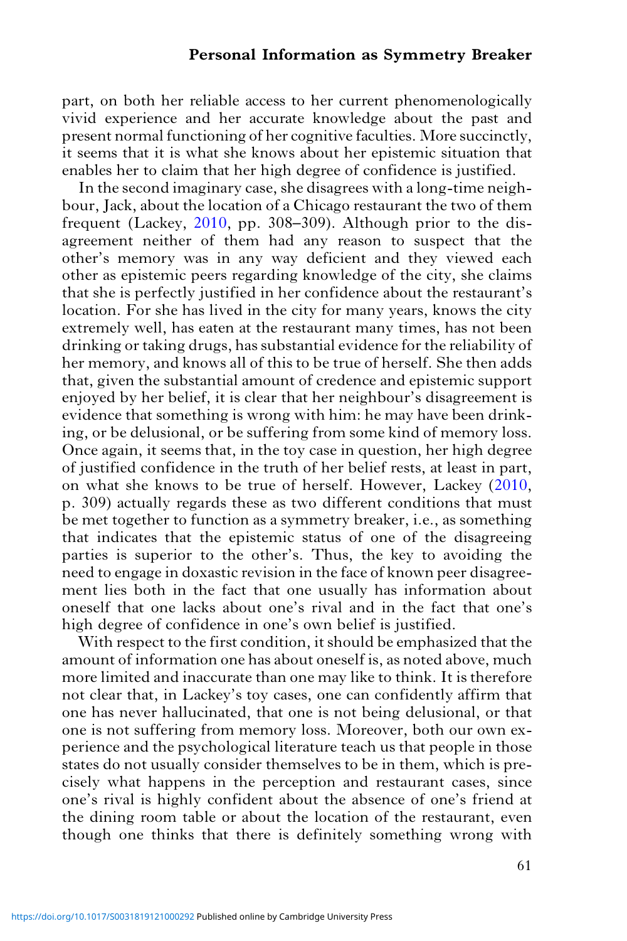part, on both her reliable access to her current phenomenologically vivid experience and her accurate knowledge about the past and present normal functioning of her cognitive faculties. More succinctly, it seems that it is what she knows about her epistemic situation that enables her to claim that her high degree of confidence is justified.

In the second imaginary case, she disagrees with a long-time neighbour, Jack, about the location of a Chicago restaurant the two of them frequent (Lackey, [2010,](#page-18-0) pp. 308–309). Although prior to the disagreement neither of them had any reason to suspect that the other's memory was in any way deficient and they viewed each other as epistemic peers regarding knowledge of the city, she claims that she is perfectly justified in her confidence about the restaurant's location. For she has lived in the city for many years, knows the city extremely well, has eaten at the restaurant many times, has not been drinking or taking drugs, has substantial evidence for the reliability of her memory, and knows all of this to be true of herself. She then adds that, given the substantial amount of credence and epistemic support enjoyed by her belief, it is clear that her neighbour's disagreement is evidence that something is wrong with him: he may have been drinking, or be delusional, or be suffering from some kind of memory loss. Once again, it seems that, in the toy case in question, her high degree of justified confidence in the truth of her belief rests, at least in part, on what she knows to be true of herself. However, Lackey ([2010](#page-18-0), p. 309) actually regards these as two different conditions that must be met together to function as a symmetry breaker, i.e., as something that indicates that the epistemic status of one of the disagreeing parties is superior to the other's. Thus, the key to avoiding the need to engage in doxastic revision in the face of known peer disagreement lies both in the fact that one usually has information about oneself that one lacks about one's rival and in the fact that one's high degree of confidence in one's own belief is justified.

With respect to the first condition, it should be emphasized that the amount of information one has about oneself is, as noted above, much more limited and inaccurate than one may like to think. It is therefore not clear that, in Lackey's toy cases, one can confidently affirm that one has never hallucinated, that one is not being delusional, or that one is not suffering from memory loss. Moreover, both our own experience and the psychological literature teach us that people in those states do not usually consider themselves to be in them, which is precisely what happens in the perception and restaurant cases, since one's rival is highly confident about the absence of one's friend at the dining room table or about the location of the restaurant, even though one thinks that there is definitely something wrong with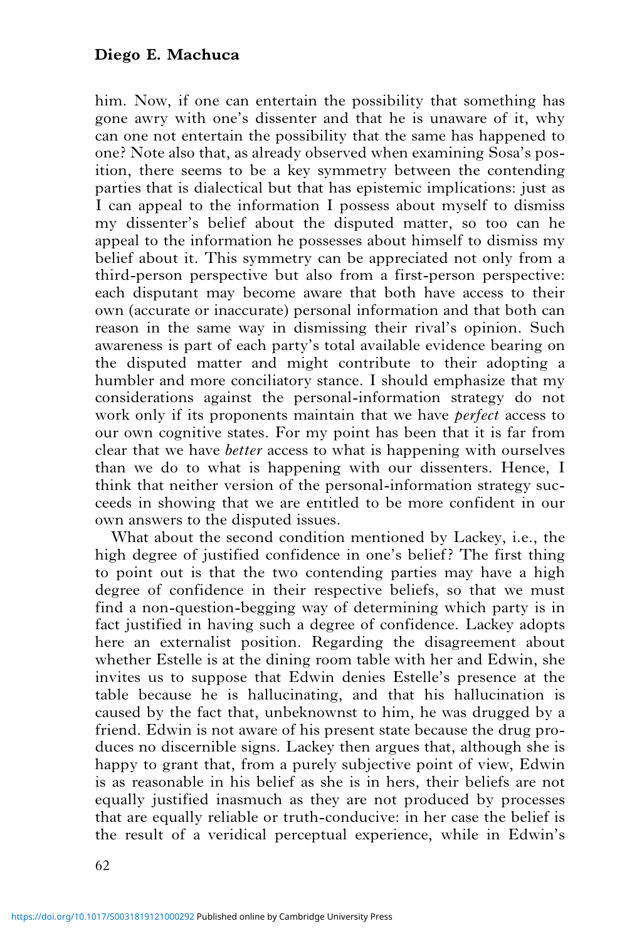him. Now, if one can entertain the possibility that something has gone awry with one's dissenter and that he is unaware of it, why can one not entertain the possibility that the same has happened to one? Note also that, as already observed when examining Sosa's position, there seems to be a key symmetry between the contending parties that is dialectical but that has epistemic implications: just as I can appeal to the information I possess about myself to dismiss my dissenter's belief about the disputed matter, so too can he appeal to the information he possesses about himself to dismiss my belief about it. This symmetry can be appreciated not only from a third-person perspective but also from a first-person perspective: each disputant may become aware that both have access to their own (accurate or inaccurate) personal information and that both can reason in the same way in dismissing their rival's opinion. Such awareness is part of each party's total available evidence bearing on the disputed matter and might contribute to their adopting a humbler and more conciliatory stance. I should emphasize that my considerations against the personal-information strategy do not work only if its proponents maintain that we have perfect access to our own cognitive states. For my point has been that it is far from clear that we have better access to what is happening with ourselves than we do to what is happening with our dissenters. Hence, I think that neither version of the personal-information strategy succeeds in showing that we are entitled to be more confident in our own answers to the disputed issues.

What about the second condition mentioned by Lackey, i.e., the high degree of justified confidence in one's belief? The first thing to point out is that the two contending parties may have a high degree of confidence in their respective beliefs, so that we must find a non-question-begging way of determining which party is in fact justified in having such a degree of confidence. Lackey adopts here an externalist position. Regarding the disagreement about whether Estelle is at the dining room table with her and Edwin, she invites us to suppose that Edwin denies Estelle's presence at the table because he is hallucinating, and that his hallucination is caused by the fact that, unbeknownst to him, he was drugged by a friend. Edwin is not aware of his present state because the drug produces no discernible signs. Lackey then argues that, although she is happy to grant that, from a purely subjective point of view, Edwin is as reasonable in his belief as she is in hers, their beliefs are not equally justified inasmuch as they are not produced by processes that are equally reliable or truth-conducive: in her case the belief is the result of a veridical perceptual experience, while in Edwin's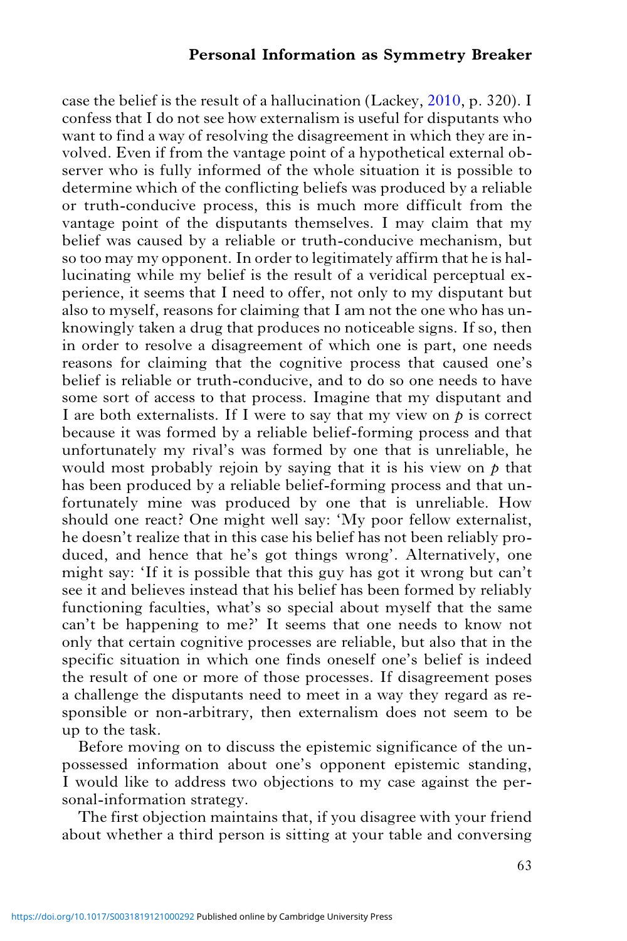case the belief is the result of a hallucination (Lackey, [2010,](#page-18-0) p. 320). I confess that I do not see how externalism is useful for disputants who want to find a way of resolving the disagreement in which they are involved. Even if from the vantage point of a hypothetical external observer who is fully informed of the whole situation it is possible to determine which of the conflicting beliefs was produced by a reliable or truth-conducive process, this is much more difficult from the vantage point of the disputants themselves. I may claim that my belief was caused by a reliable or truth-conducive mechanism, but so too may my opponent. In order to legitimately affirm that he is hallucinating while my belief is the result of a veridical perceptual experience, it seems that I need to offer, not only to my disputant but also to myself, reasons for claiming that I am not the one who has unknowingly taken a drug that produces no noticeable signs. If so, then in order to resolve a disagreement of which one is part, one needs reasons for claiming that the cognitive process that caused one's belief is reliable or truth-conducive, and to do so one needs to have some sort of access to that process. Imagine that my disputant and I are both externalists. If I were to say that my view on  $p$  is correct because it was formed by a reliable belief-forming process and that unfortunately my rival's was formed by one that is unreliable, he would most probably rejoin by saying that it is his view on  $p$  that has been produced by a reliable belief-forming process and that unfortunately mine was produced by one that is unreliable. How should one react? One might well say: 'My poor fellow externalist, he doesn't realize that in this case his belief has not been reliably produced, and hence that he's got things wrong'. Alternatively, one might say: 'If it is possible that this guy has got it wrong but can't see it and believes instead that his belief has been formed by reliably functioning faculties, what's so special about myself that the same can't be happening to me?' It seems that one needs to know not only that certain cognitive processes are reliable, but also that in the specific situation in which one finds oneself one's belief is indeed the result of one or more of those processes. If disagreement poses a challenge the disputants need to meet in a way they regard as responsible or non-arbitrary, then externalism does not seem to be up to the task.

Before moving on to discuss the epistemic significance of the unpossessed information about one's opponent epistemic standing, I would like to address two objections to my case against the personal-information strategy.

The first objection maintains that, if you disagree with your friend about whether a third person is sitting at your table and conversing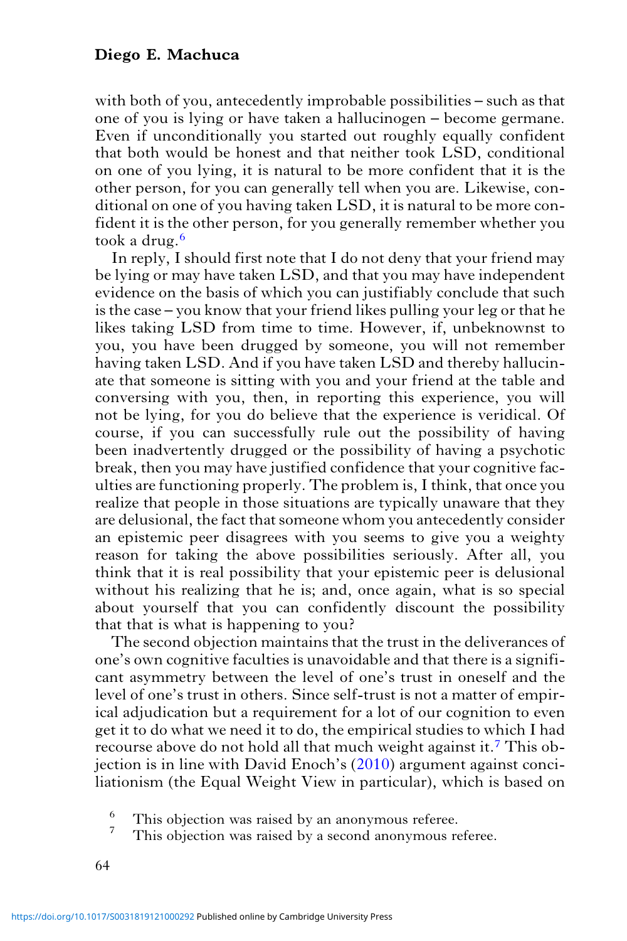with both of you, antecedently improbable possibilities – such as that one of you is lying or have taken a hallucinogen – become germane. Even if unconditionally you started out roughly equally confident that both would be honest and that neither took LSD, conditional on one of you lying, it is natural to be more confident that it is the other person, for you can generally tell when you are. Likewise, conditional on one of you having taken LSD, it is natural to be more confident it is the other person, for you generally remember whether you took a drug.<sup>6</sup>

In reply, I should first note that I do not deny that your friend may be lying or may have taken LSD, and that you may have independent evidence on the basis of which you can justifiably conclude that such is the case – you know that your friend likes pulling your leg or that he likes taking LSD from time to time. However, if, unbeknownst to you, you have been drugged by someone, you will not remember having taken LSD. And if you have taken LSD and thereby hallucinate that someone is sitting with you and your friend at the table and conversing with you, then, in reporting this experience, you will not be lying, for you do believe that the experience is veridical. Of course, if you can successfully rule out the possibility of having been inadvertently drugged or the possibility of having a psychotic break, then you may have justified confidence that your cognitive faculties are functioning properly. The problem is, I think, that once you realize that people in those situations are typically unaware that they are delusional, the fact that someone whom you antecedently consider an epistemic peer disagrees with you seems to give you a weighty reason for taking the above possibilities seriously. After all, you think that it is real possibility that your epistemic peer is delusional without his realizing that he is; and, once again, what is so special about yourself that you can confidently discount the possibility that that is what is happening to you?

The second objection maintains that the trust in the deliverances of one's own cognitive faculties is unavoidable and that there is a significant asymmetry between the level of one's trust in oneself and the level of one's trust in others. Since self-trust is not a matter of empirical adjudication but a requirement for a lot of our cognition to even get it to do what we need it to do, the empirical studies to which I had recourse above do not hold all that much weight against it.<sup>7</sup> This objection is in line with David Enoch's ([2010\)](#page-18-0) argument against conciliationism (the Equal Weight View in particular), which is based on

 $\frac{6}{7}$  This objection was raised by an anonymous referee.

This objection was raised by a second anonymous referee.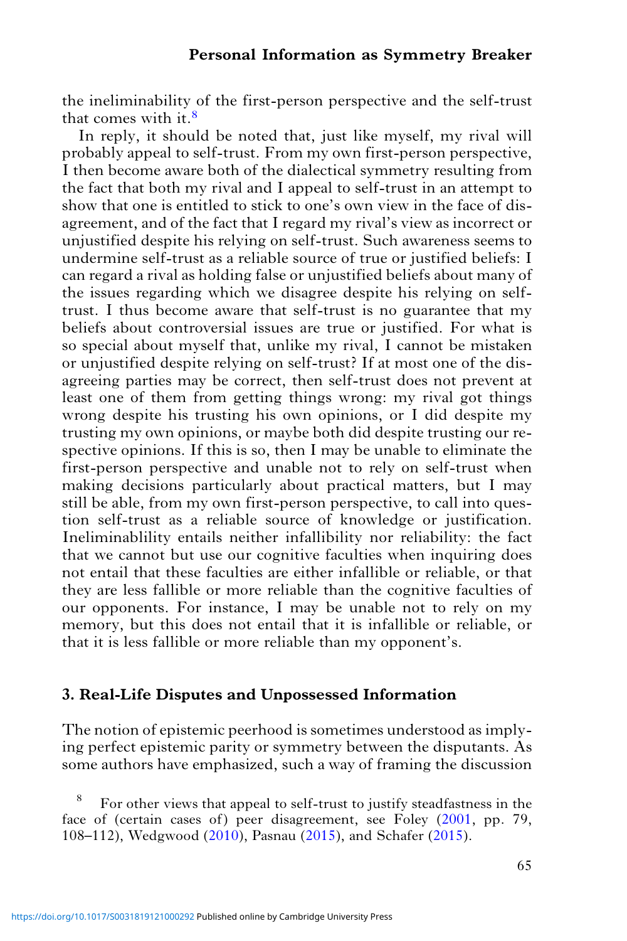the ineliminability of the first-person perspective and the self-trust that comes with it.<sup>8</sup>

In reply, it should be noted that, just like myself, my rival will probably appeal to self-trust. From my own first-person perspective, I then become aware both of the dialectical symmetry resulting from the fact that both my rival and I appeal to self-trust in an attempt to show that one is entitled to stick to one's own view in the face of disagreement, and of the fact that I regard my rival's view as incorrect or unjustified despite his relying on self-trust. Such awareness seems to undermine self-trust as a reliable source of true or justified beliefs: I can regard a rival as holding false or unjustified beliefs about many of the issues regarding which we disagree despite his relying on selftrust. I thus become aware that self-trust is no guarantee that my beliefs about controversial issues are true or justified. For what is so special about myself that, unlike my rival, I cannot be mistaken or unjustified despite relying on self-trust? If at most one of the disagreeing parties may be correct, then self-trust does not prevent at least one of them from getting things wrong: my rival got things wrong despite his trusting his own opinions, or I did despite my trusting my own opinions, or maybe both did despite trusting our respective opinions. If this is so, then I may be unable to eliminate the first-person perspective and unable not to rely on self-trust when making decisions particularly about practical matters, but I may still be able, from my own first-person perspective, to call into question self-trust as a reliable source of knowledge or justification. Ineliminablility entails neither infallibility nor reliability: the fact that we cannot but use our cognitive faculties when inquiring does not entail that these faculties are either infallible or reliable, or that they are less fallible or more reliable than the cognitive faculties of our opponents. For instance, I may be unable not to rely on my memory, but this does not entail that it is infallible or reliable, or that it is less fallible or more reliable than my opponent's.

## 3. Real-Life Disputes and Unpossessed Information

The notion of epistemic peerhood is sometimes understood as implying perfect epistemic parity or symmetry between the disputants. As some authors have emphasized, such a way of framing the discussion

<sup>8</sup> For other views that appeal to self-trust to justify steadfastness in the face of (certain cases of) peer disagreement, see Foley [\(2001](#page-18-0), pp. 79, 108–112), Wedgwood [\(2010](#page-19-0)), Pasnau ([2015\)](#page-19-0), and Schafer ([2015](#page-19-0)).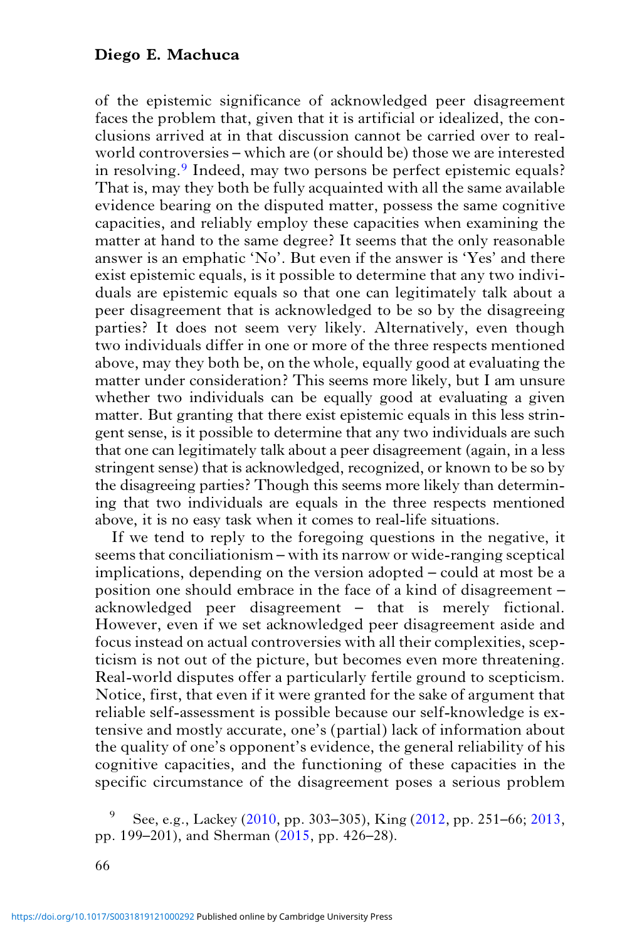of the epistemic significance of acknowledged peer disagreement faces the problem that, given that it is artificial or idealized, the conclusions arrived at in that discussion cannot be carried over to realworld controversies – which are (or should be) those we are interested in resolving.<sup>9</sup> Indeed, may two persons be perfect epistemic equals? That is, may they both be fully acquainted with all the same available evidence bearing on the disputed matter, possess the same cognitive capacities, and reliably employ these capacities when examining the matter at hand to the same degree? It seems that the only reasonable answer is an emphatic 'No'. But even if the answer is 'Yes' and there exist epistemic equals, is it possible to determine that any two individuals are epistemic equals so that one can legitimately talk about a peer disagreement that is acknowledged to be so by the disagreeing parties? It does not seem very likely. Alternatively, even though two individuals differ in one or more of the three respects mentioned above, may they both be, on the whole, equally good at evaluating the matter under consideration? This seems more likely, but I am unsure whether two individuals can be equally good at evaluating a given matter. But granting that there exist epistemic equals in this less stringent sense, is it possible to determine that any two individuals are such that one can legitimately talk about a peer disagreement (again, in a less stringent sense) that is acknowledged, recognized, or known to be so by the disagreeing parties? Though this seems more likely than determining that two individuals are equals in the three respects mentioned above, it is no easy task when it comes to real-life situations.

If we tend to reply to the foregoing questions in the negative, it seems that conciliationism – with its narrow or wide-ranging sceptical implications, depending on the version adopted – could at most be a position one should embrace in the face of a kind of disagreement – acknowledged peer disagreement – that is merely fictional. However, even if we set acknowledged peer disagreement aside and focus instead on actual controversies with all their complexities, scepticism is not out of the picture, but becomes even more threatening. Real-world disputes offer a particularly fertile ground to scepticism. Notice, first, that even if it were granted for the sake of argument that reliable self-assessment is possible because our self-knowledge is extensive and mostly accurate, one's (partial) lack of information about the quality of one's opponent's evidence, the general reliability of his cognitive capacities, and the functioning of these capacities in the specific circumstance of the disagreement poses a serious problem

<sup>9</sup> See, e.g., Lackey [\(2010,](#page-18-0) pp. 303–305), King [\(2012](#page-18-0), pp. 251–66; [2013](#page-18-0), pp. 199–201), and Sherman [\(2015,](#page-19-0) pp. 426–28).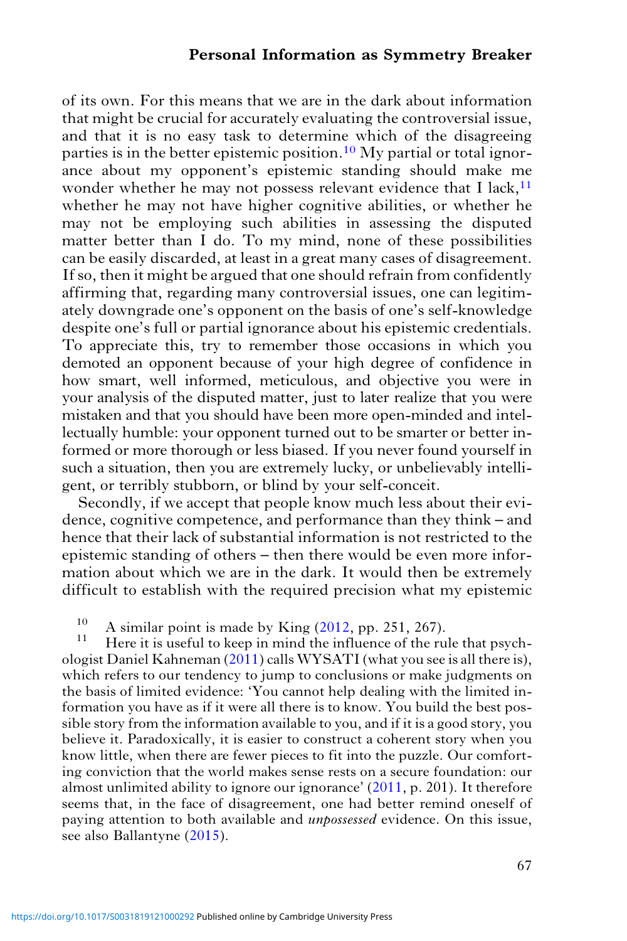of its own. For this means that we are in the dark about information that might be crucial for accurately evaluating the controversial issue, and that it is no easy task to determine which of the disagreeing parties is in the better epistemic position.<sup>10</sup> My partial or total ignorance about my opponent's epistemic standing should make me wonder whether he may not possess relevant evidence that I lack, $11$ whether he may not have higher cognitive abilities, or whether he may not be employing such abilities in assessing the disputed matter better than I do. To my mind, none of these possibilities can be easily discarded, at least in a great many cases of disagreement. If so, then it might be argued that one should refrain from confidently affirming that, regarding many controversial issues, one can legitimately downgrade one's opponent on the basis of one's self-knowledge despite one's full or partial ignorance about his epistemic credentials. To appreciate this, try to remember those occasions in which you demoted an opponent because of your high degree of confidence in how smart, well informed, meticulous, and objective you were in your analysis of the disputed matter, just to later realize that you were mistaken and that you should have been more open-minded and intellectually humble: your opponent turned out to be smarter or better informed or more thorough or less biased. If you never found yourself in such a situation, then you are extremely lucky, or unbelievably intelligent, or terribly stubborn, or blind by your self-conceit.

Secondly, if we accept that people know much less about their evidence, cognitive competence, and performance than they think – and hence that their lack of substantial information is not restricted to the epistemic standing of others – then there would be even more information about which we are in the dark. It would then be extremely difficult to establish with the required precision what my epistemic

<sup>10</sup> A similar point is made by King  $(2012, pp. 251, 267)$  $(2012, pp. 251, 267)$ .<br><sup>11</sup> Here it is useful to keep in mind the influence of the rule that psychologist Daniel Kahneman [\(2011](#page-18-0)) calls WYSATI (what you see is all there is), which refers to our tendency to jump to conclusions or make judgments on the basis of limited evidence: 'You cannot help dealing with the limited information you have as if it were all there is to know. You build the best possible story from the information available to you, and if it is a good story, you believe it. Paradoxically, it is easier to construct a coherent story when you know little, when there are fewer pieces to fit into the puzzle. Our comforting conviction that the world makes sense rests on a secure foundation: our almost unlimited ability to ignore our ignorance' ([2011,](#page-18-0) p. 201). It therefore seems that, in the face of disagreement, one had better remind oneself of paying attention to both available and unpossessed evidence. On this issue, see also Ballantyne [\(2015](#page-18-0)).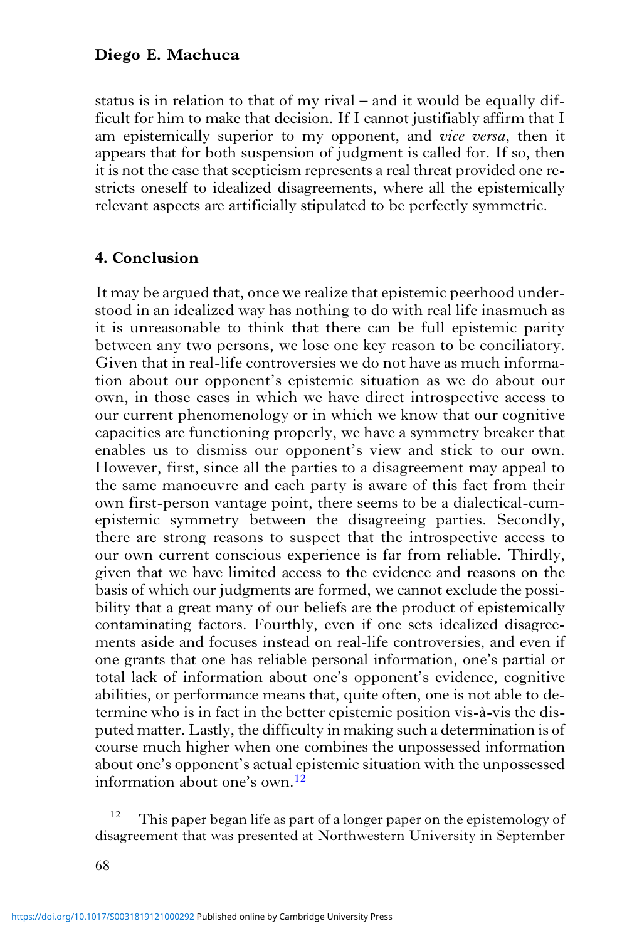status is in relation to that of my rival – and it would be equally difficult for him to make that decision. If I cannot justifiably affirm that I am epistemically superior to my opponent, and vice versa, then it appears that for both suspension of judgment is called for. If so, then it is not the case that scepticism represents a real threat provided one restricts oneself to idealized disagreements, where all the epistemically relevant aspects are artificially stipulated to be perfectly symmetric.

# 4. Conclusion

It may be argued that, once we realize that epistemic peerhood understood in an idealized way has nothing to do with real life inasmuch as it is unreasonable to think that there can be full epistemic parity between any two persons, we lose one key reason to be conciliatory. Given that in real-life controversies we do not have as much information about our opponent's epistemic situation as we do about our own, in those cases in which we have direct introspective access to our current phenomenology or in which we know that our cognitive capacities are functioning properly, we have a symmetry breaker that enables us to dismiss our opponent's view and stick to our own. However, first, since all the parties to a disagreement may appeal to the same manoeuvre and each party is aware of this fact from their own first-person vantage point, there seems to be a dialectical-cumepistemic symmetry between the disagreeing parties. Secondly, there are strong reasons to suspect that the introspective access to our own current conscious experience is far from reliable. Thirdly, given that we have limited access to the evidence and reasons on the basis of which our judgments are formed, we cannot exclude the possibility that a great many of our beliefs are the product of epistemically contaminating factors. Fourthly, even if one sets idealized disagreements aside and focuses instead on real-life controversies, and even if one grants that one has reliable personal information, one's partial or total lack of information about one's opponent's evidence, cognitive abilities, or performance means that, quite often, one is not able to determine who is in fact in the better epistemic position vis-à-vis the disputed matter. Lastly, the difficulty in making such a determination is of course much higher when one combines the unpossessed information about one's opponent's actual epistemic situation with the unpossessed information about one's own.12

This paper began life as part of a longer paper on the epistemology of disagreement that was presented at Northwestern University in September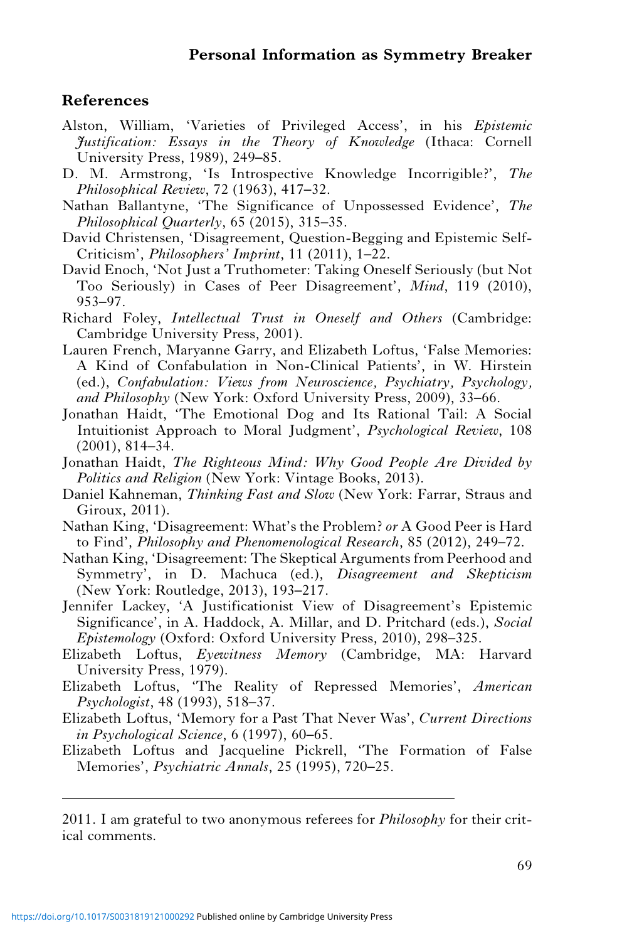#### <span id="page-18-0"></span>References

- Alston, William, 'Varieties of Privileged Access', in his Epistemic Justification: Essays in the Theory of Knowledge (Ithaca: Cornell University Press, 1989), 249–85.
- D. M. Armstrong, 'Is Introspective Knowledge Incorrigible?', The Philosophical Review, 72 (1963), 417–32.
- Nathan Ballantyne, 'The Significance of Unpossessed Evidence', The Philosophical Quarterly, 65 (2015), 315–35.
- David Christensen, 'Disagreement, Question-Begging and Epistemic Self-Criticism', Philosophers' Imprint, 11 (2011), 1–22.
- David Enoch, 'Not Just a Truthometer: Taking Oneself Seriously (but Not Too Seriously) in Cases of Peer Disagreement', Mind, 119 (2010), 953–97.
- Richard Foley, Intellectual Trust in Oneself and Others (Cambridge: Cambridge University Press, 2001).
- Lauren French, Maryanne Garry, and Elizabeth Loftus, 'False Memories: A Kind of Confabulation in Non-Clinical Patients', in W. Hirstein (ed.), Confabulation: Views from Neuroscience, Psychiatry, Psychology, and Philosophy (New York: Oxford University Press, 2009), 33–66.
- Jonathan Haidt, 'The Emotional Dog and Its Rational Tail: A Social Intuitionist Approach to Moral Judgment', Psychological Review, 108 (2001), 814–34.
- Jonathan Haidt, The Righteous Mind: Why Good People Are Divided by Politics and Religion (New York: Vintage Books, 2013).
- Daniel Kahneman, Thinking Fast and Slow (New York: Farrar, Straus and Giroux, 2011).
- Nathan King, 'Disagreement: What's the Problem? or A Good Peer is Hard to Find', Philosophy and Phenomenological Research, 85 (2012), 249–72.
- Nathan King, 'Disagreement: The Skeptical Arguments from Peerhood and Symmetry', in D. Machuca (ed.), Disagreement and Skepticism (New York: Routledge, 2013), 193–217.
- Jennifer Lackey, 'A Justificationist View of Disagreement's Epistemic Significance', in A. Haddock, A. Millar, and D. Pritchard (eds.), Social Epistemology (Oxford: Oxford University Press, 2010), 298–325.
- Elizabeth Loftus, Eyewitness Memory (Cambridge, MA: Harvard University Press, 1979).
- Elizabeth Loftus, 'The Reality of Repressed Memories', American Psychologist, 48 (1993), 518–37.
- Elizabeth Loftus, 'Memory for a Past That Never Was', Current Directions in Psychological Science, 6 (1997), 60–65.
- Elizabeth Loftus and Jacqueline Pickrell, 'The Formation of False Memories', Psychiatric Annals, 25 (1995), 720–25.

2011. I am grateful to two anonymous referees for *Philosophy* for their critical comments.